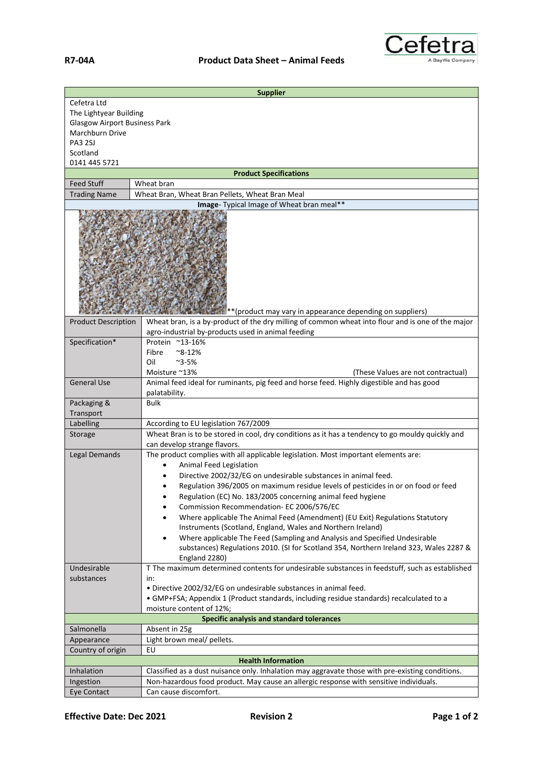

| <b>Supplier</b>                                            |                                                                                                           |  |
|------------------------------------------------------------|-----------------------------------------------------------------------------------------------------------|--|
| Cefetra Ltd                                                |                                                                                                           |  |
| The Lightyear Building                                     |                                                                                                           |  |
| <b>Glasgow Airport Business Park</b>                       |                                                                                                           |  |
| Marchburn Drive                                            |                                                                                                           |  |
| <b>PA3 2SJ</b>                                             |                                                                                                           |  |
| Scotland                                                   |                                                                                                           |  |
| 0141 445 5721                                              |                                                                                                           |  |
|                                                            | <b>Product Specifications</b>                                                                             |  |
| <b>Feed Stuff</b>                                          | Wheat bran                                                                                                |  |
| <b>Trading Name</b>                                        | Wheat Bran, Wheat Bran Pellets, Wheat Bran Meal                                                           |  |
| Image- Typical Image of Wheat bran meal**                  |                                                                                                           |  |
| ** (product may vary in appearance depending on suppliers) |                                                                                                           |  |
| <b>Product Description</b>                                 | Wheat bran, is a by-product of the dry milling of common wheat into flour and is one of the major         |  |
|                                                            | agro-industrial by-products used in animal feeding                                                        |  |
| Specification*                                             | Protein ~13-16%                                                                                           |  |
|                                                            | Fibre<br>$^{\sim}$ 8-12%                                                                                  |  |
|                                                            | Oil<br>$^{\sim}$ 3-5%                                                                                     |  |
|                                                            | Moisture ~13%<br>(These Values are not contractual)                                                       |  |
| <b>General Use</b>                                         | Animal feed ideal for ruminants, pig feed and horse feed. Highly digestible and has good<br>palatability. |  |
| Packaging &                                                | <b>Bulk</b>                                                                                               |  |
| Transport                                                  |                                                                                                           |  |
| Labelling                                                  | According to EU legislation 767/2009                                                                      |  |
| Storage                                                    | Wheat Bran is to be stored in cool, dry conditions as it has a tendency to go mouldy quickly and          |  |
|                                                            | can develop strange flavors.                                                                              |  |
| <b>Legal Demands</b>                                       | The product complies with all applicable legislation. Most important elements are:                        |  |
|                                                            | Animal Feed Legislation<br>$\bullet$                                                                      |  |
|                                                            | Directive 2002/32/EG on undesirable substances in animal feed.                                            |  |
|                                                            | Regulation 396/2005 on maximum residue levels of pesticides in or on food or feed                         |  |
|                                                            | Regulation (EC) No. 183/2005 concerning animal feed hygiene<br>٠                                          |  |
|                                                            | Commission Recommendation- EC 2006/576/EC                                                                 |  |
|                                                            | Where applicable The Animal Feed (Amendment) (EU Exit) Regulations Statutory                              |  |
|                                                            | Instruments (Scotland, England, Wales and Northern Ireland)                                               |  |
|                                                            |                                                                                                           |  |
|                                                            | Where applicable The Feed (Sampling and Analysis and Specified Undesirable                                |  |
|                                                            | substances) Regulations 2010. (SI for Scotland 354, Northern Ireland 323, Wales 2287 &                    |  |
|                                                            | England 2280)                                                                                             |  |
| Undesirable                                                | T The maximum determined contents for undesirable substances in feedstuff, such as established            |  |
| substances                                                 | in:                                                                                                       |  |
|                                                            | · Directive 2002/32/EG on undesirable substances in animal feed.                                          |  |
|                                                            | • GMP+FSA; Appendix 1 (Product standards, including residue standards) recalculated to a                  |  |
|                                                            | moisture content of 12%;                                                                                  |  |
|                                                            | <b>Specific analysis and standard tolerances</b>                                                          |  |
| Salmonella                                                 | Absent in 25g                                                                                             |  |
| Appearance                                                 | Light brown meal/ pellets.                                                                                |  |
| Country of origin                                          | EU                                                                                                        |  |
| <b>Health Information</b>                                  |                                                                                                           |  |
| Inhalation                                                 | Classified as a dust nuisance only. Inhalation may aggravate those with pre-existing conditions.          |  |
| Ingestion                                                  | Non-hazardous food product. May cause an allergic response with sensitive individuals.                    |  |
| Eye Contact                                                | Can cause discomfort.                                                                                     |  |